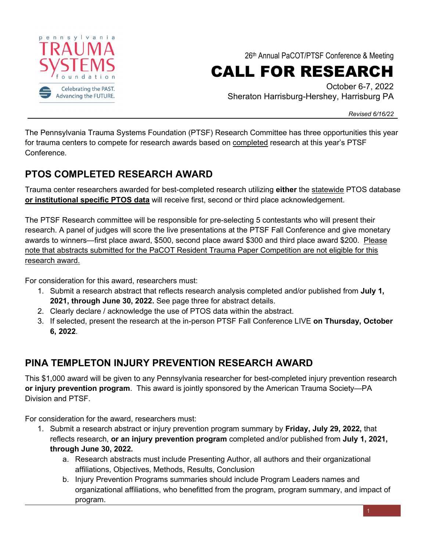

26th Annual PaCOT/PTSF Conference & Meeting

# CALL FOR RESEARCH

October 6-7, 2022 Sheraton Harrisburg-Hershey, Harrisburg PA

*Revised 6/16/22*

The Pennsylvania Trauma Systems Foundation (PTSF) Research Committee has three opportunities this year for trauma centers to compete for research awards based on completed research at this year's PTSF Conference.

### **PTOS COMPLETED RESEARCH AWARD**

Trauma center researchers awarded for best-completed research utilizing **either** the statewide PTOS database **or institutional specific PTOS data** will receive first, second or third place acknowledgement.

The PTSF Research committee will be responsible for pre-selecting 5 contestants who will present their research. A panel of judges will score the live presentations at the PTSF Fall Conference and give monetary awards to winners—first place award, \$500, second place award \$300 and third place award \$200. Please note that abstracts submitted for the PaCOT Resident Trauma Paper Competition are not eligible for this research award.

For consideration for this award, researchers must:

- 1. Submit a research abstract that reflects research analysis completed and/or published from **July 1, 2021, through June 30, 2022.** See page three for abstract details.
- 2. Clearly declare / acknowledge the use of PTOS data within the abstract.
- 3. If selected, present the research at the in-person PTSF Fall Conference LIVE **on Thursday, October 6, 2022**.

## **PINA TEMPLETON INJURY PREVENTION RESEARCH AWARD**

This \$1,000 award will be given to any Pennsylvania researcher for best-completed injury prevention research **or injury prevention program**. This award is jointly sponsored by the American Trauma Society—PA Division and PTSF.

For consideration for the award, researchers must:

- 1. Submit a research abstract or injury prevention program summary by **Friday, July 29, 2022,** that reflects research, **or an injury prevention program** completed and/or published from **July 1, 2021, through June 30, 2022.**
	- a. Research abstracts must include Presenting Author, all authors and their organizational affiliations, Objectives, Methods, Results, Conclusion
	- b. Injury Prevention Programs summaries should include Program Leaders names and organizational affiliations, who benefitted from the program, program summary, and impact of program.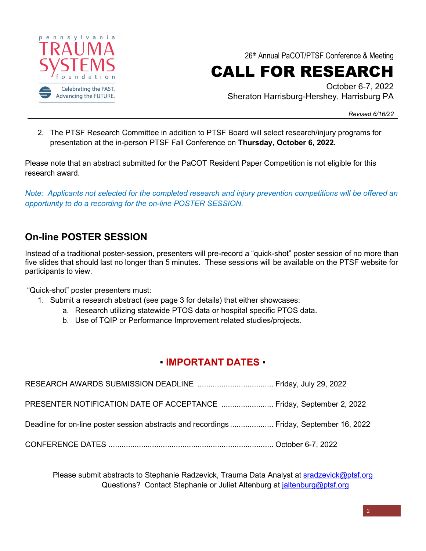

26th Annual PaCOT/PTSF Conference & Meeting

CALL FOR RESEARCH

October 6-7, 2022 Sheraton Harrisburg-Hershey, Harrisburg PA

*Revised 6/16/22*

2. The PTSF Research Committee in addition to PTSF Board will select research/injury programs for presentation at the in-person PTSF Fall Conference on **Thursday, October 6, 2022.**

Please note that an abstract submitted for the PaCOT Resident Paper Competition is not eligible for this research award.

*Note: Applicants not selected for the completed research and injury prevention competitions will be offered an opportunity to do a recording for the on-line POSTER SESSION.*

#### **On-line POSTER SESSION**

Instead of a traditional poster-session, presenters will pre-record a "quick-shot" poster session of no more than five slides that should last no longer than 5 minutes. These sessions will be available on the PTSF website for participants to view.

"Quick-shot" poster presenters must:

- 1. Submit a research abstract (see page 3 for details) that either showcases:
	- a. Research utilizing statewide PTOS data or hospital specific PTOS data.
	- b. Use of TQIP or Performance Improvement related studies/projects.

#### ▪ **IMPORTANT DATES** ▪

| PRESENTER NOTIFICATION DATE OF ACCEPTANCE  Friday, September 2, 2022                    |  |
|-----------------------------------------------------------------------------------------|--|
| Deadline for on-line poster session abstracts and recordings Friday, September 16, 2022 |  |
|                                                                                         |  |

Please submit abstracts to Stephanie Radzevick, Trauma Data Analyst at [sradzevick@ptsf.org](mailto:sradzevick@ptsf.org) Questions? Contact Stephanie or Juliet Altenburg at [jaltenburg@ptsf.org](mailto:jaltenburg@ptsf.org)